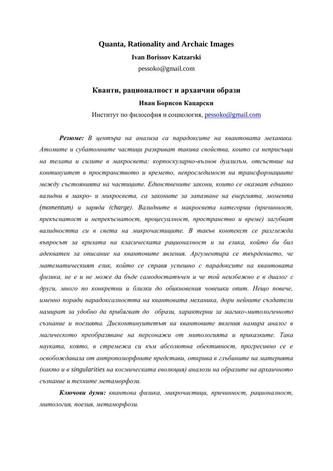### **Quanta, Rationality and Archaic Images**

#### **Ivan Borissov Katzarski**

pessoko@gmail.com

# **Кванти, рационалност и архаични образи Иван Борисов Кацарски**

Институт по философия и социология, [pessoko@gmail.com](mailto:pessoko@gmail.com)

*Резюме: В центъра на анализа са парадоксите на квантовата механика. Атомите и субатомните частици разкриват такива свойства, които са неприсъщи на телата и силите в макросвета: корпоскуларно-вълнов дуализъм, отсъствие на континуитет в пространството и времето, непроследимост на трансформациите между състоянията на частиците. Единствените закони, които се оказват еднакво валидни в макро- и микросвета, са законите за запазване на енергията, момента (momentum) и заряда (charge). Валидните в макросвета категории (причинност, прекъснатост и непрекъснатост, процесуалност, пространство и време) загубват валидността си в света на микрочастиците. В такъв контекст се разглежда въпросът за кризата на класическата рационалност и за езика, който би бил адекватен за описание на квантовите явления. Аргументира се твърдението, че математическият език, който се справя успешно с парадоксите на квантовата физика, не е и не може да бъде самодостатъчен и че той неизбежно е в диалог с други, много по конкретни и близки до обикновения човешки опит. Нещо повече, именно поради парадоксалността на квантовата механика, дори нейните създатели намират за удобно да прибягват до образи, характерни за магико-митологичното съзнание и поезията. Дисконтинуитетът на квантовите явления намира аналог в магическото преобразяване на персонажи от митологията и приказките. Така науката, която, в стремежа си към абсолютна обективност, прогресивно се е освобождавала от антропоморфните представи, открива в глъбините на материята (както и в singularities на космическата еволюция) аналози на образите на архаичното съзнание и техните метаморфози.*

*Ключови думи: квантова физика, микрочастици, причинност, рационалност, митология, поезия, метаморфози.*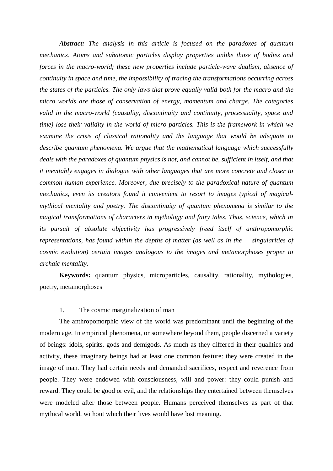*Abstract: The analysis in this article is focused on the paradoxes of quantum mechanics. Atoms and subatomic particles display properties unlike those of bodies and forces in the macro-world; these new properties include particle-wave dualism, absence of continuity in space and time, the impossibility of tracing the transformations occurring across the states of the particles. The only laws that prove equally valid both for the macro and the micro worlds are those of conservation of energy, momentum and charge. The categories valid in the macro-world (causality, discontinuity and continuity, processuality, space and time) lose their validity in the world of micro-particles. This is the framework in which we examine the crisis of classical rationality and the language that would be adequate to describe quantum phenomena. We argue that the mathematical language which successfully deals with the paradoxes of quantum physics is not, and cannot be, sufficient in itself, and that it inevitably engages in dialogue with other languages that are more concrete and closer to common human experience. Moreover, due precisely to the paradoxical nature of quantum mechanics, even its creators found it convenient to resort to images typical of magicalmythical mentality and poetry. The discontinuity of quantum phenomena is similar to the magical transformations of characters in mythology and fairy tales. Thus, science, which in its pursuit of absolute objectivity has progressively freed itself of anthropomorphic representations, has found within the depths of matter (as well as in the singularities of cosmic evolution) certain images analogous to the images and metamorphoses proper to archaic mentality.* 

**Keywords:** quantum physics, microparticles, causality, rationality, mythologies, poetry, metamorphoses

## 1. The cosmic marginalization of man

The anthropomorphic view of the world was predominant until the beginning of the modern age. In empirical phenomena, or somewhere beyond them, people discerned a variety of beings: idols, spirits, gods and demigods. As much as they differed in their qualities and activity, these imaginary beings had at least one common feature: they were created in the image of man. They had certain needs and demanded sacrifices, respect and reverence from people. They were endowed with consciousness, will and power: they could punish and reward. They could be good or evil, and the relationships they entertained between themselves were modeled after those between people. Humans perceived themselves as part of that mythical world, without which their lives would have lost meaning.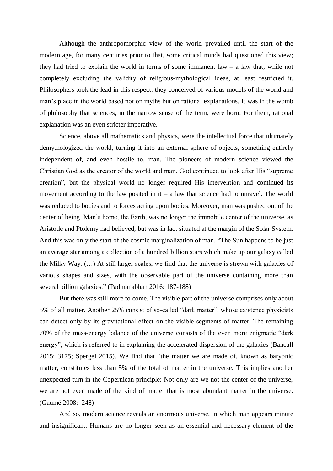Although the anthropomorphic view of the world prevailed until the start of the modern age, for many centuries prior to that, some critical minds had questioned this view; they had tried to explain the world in terms of some immanent law  $-$  a law that, while not completely excluding the validity of religious-mythological ideas, at least restricted it. Philosophers took the lead in this respect: they conceived of various models of the world and man's place in the world based not on myths but on rational explanations. It was in the womb of philosophy that sciences, in the narrow sense of the term, were born. For them, rational explanation was an even stricter imperative.

Science, above all mathematics and physics, were the intellectual force that ultimately demythologized the world, turning it into an external sphere of objects, something entirely independent of, and even hostile to, man. The pioneers of modern science viewed the Christian God as the creator of the world and man. God continued to look after His "supreme creation", but the physical world no longer required His intervention and continued its movement according to the law posited in it – a law that science had to unravel. The world was reduced to bodies and to forces acting upon bodies. Moreover, man was pushed out of the center of being. Man's home, the Earth, was no longer the immobile center of the universe, as Aristotle and Ptolemy had believed, but was in fact situated at the margin of the Solar System. And this was only the start of the cosmic marginalization of man. "The Sun happens to be just an average star among a collection of a hundred billion stars which make up our galaxy called the Milky Way. (…) At still larger scales, we find that the universe is strewn with galaxies of various shapes and sizes, with the observable part of the universe containing more than several billion galaxies." (Padmanabhan 2016: 187-188)

But there was still more to come. The visible part of the universe comprises only about 5% of all matter. Another 25% consist of so-called "dark matter", whose existence physicists can detect only by its gravitational effect on the visible segments of matter. The remaining 70% of the mass-energy balance of the universe consists of the even more enigmatic "dark energy", which is referred to in explaining the accelerated dispersion of the galaxies (Bahcall 2015: 3175; Spergel 2015). We find that "the matter we are made of, known as baryonic matter, constitutes less than 5% of the total of matter in the universe. This implies another unexpected turn in the Copernican principle: Not only are we not the center of the universe, we are not even made of the kind of matter that is most abundant matter in the universe. (Gaumé 2008: 248)

And so, modern science reveals an enormous universe, in which man appears minute and insignificant. Humans are no longer seen as an essential and necessary element of the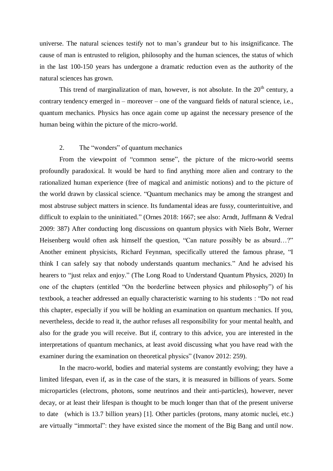universe. The natural sciences testify not to man's grandeur but to his insignificance. The cause of man is entrusted to religion, philosophy and the human sciences, the status of which in the last 100-150 years has undergone a dramatic reduction even as the authority of the natural sciences has grown.

This trend of marginalization of man, however, is not absolute. In the  $20<sup>th</sup>$  century, a contrary tendency emerged in – moreover – one of the vanguard fields of natural science, i.e., quantum mechanics. Physics has once again come up against the necessary presence of the human being within the picture of the micro-world.

### 2. The "wonders" of quantum mechanics

From the viewpoint of "common sense", the picture of the micro-world seems profoundly paradoxical. It would be hard to find anything more alien and contrary to the rationalized human experience (free of magical and animistic notions) and to the picture of the world drawn by classical science. "Quantum mechanics may be among the strangest and most abstruse subject matters in science. Its fundamental ideas are fussy, counterintuitive, and difficult to explain to the uninitiated." (Ornes 2018: 1667; see also: Arndt, Juffmann & Vedral 2009: 387) After conducting long discussions on quantum physics with Niels Bohr, Werner Heisenberg would often ask himself the question, "Can nature possibly be as absurd…?" Another eminent physicists, Richard Feynman, specifically uttered the famous phrase, "I think I can safely say that nobody understands quantum mechanics." And he advised his hearers to "just relax and enjoy." (The Long Road to Understand Quantum Physics, 2020) In one of the chapters (entitled "On the borderline between physics and philosophy") of his textbook, a teacher addressed an equally characteristic warning to his students : "Do not read this chapter, especially if you will be holding an examination on quantum mechanics. If you, nevertheless, decide to read it, the author refuses all responsibility for your mental health, and also for the grade you will receive. But if, contrary to this advice, you are interested in the interpretations of quantum mechanics, at least avoid discussing what you have read with the examiner during the examination on theoretical physics" (Ivanov 2012: 259).

In the macro-world, bodies and material systems are constantly evolving; they have a limited lifespan, even if, as in the case of the stars, it is measured in billions of years. Some microparticles (electrons, photons, some neutrinos and their anti-particles), however, never decay, or at least their lifespan is thought to be much longer than that of the present universe to date (which is 13.7 billion years) [1]. Other particles (protons, many atomic nuclei, etc.) are virtually "immortal": they have existed since the moment of the Big Bang and until now.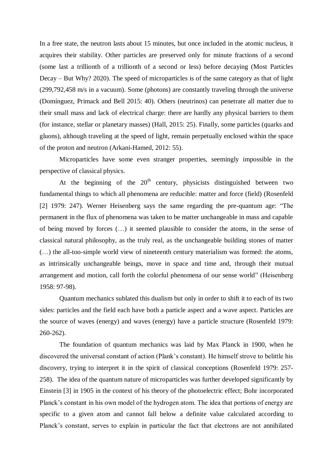In a free state, the neutron lasts about 15 minutes, but once included in the atomic nucleus, it acquires their stability. Other particles are preserved only for minute fractions of a second (some last a trillionth of a trillionth of a second or less) before decaying (Most Particles Decay – But Why? 2020). The speed of microparticles is of the same category as that of light (299,792,458 m/s in a vacuum). Some (photons) are constantly traveling through the universe (Domínguez, Primack and Bell 2015: 40). Others (neutrinos) can penetrate all matter due to their small mass and lack of electrical charge: there are hardly any physical barriers to them (for instance, stellar or planetary masses) (Hall, 2015: 25). Finally, some particles (quarks and gluons), although traveling at the speed of light, remain perpetually enclosed within the space of the proton and neutron (Arkani-Hamed, 2012: 55).

Microparticles have some even stranger properties, seemingly impossible in the perspective of classical physics.

At the beginning of the  $20<sup>th</sup>$  century, physicists distinguished between two fundamental things to which all phenomena are reducible: matter and force (field) (Rosenfeld [2] 1979: 247). Werner Heisenberg says the same regarding the pre-quantum age: "The permanent in the flux of phenomena was taken to be matter unchangeable in mass and capable of being moved by forces (…) it seemed plausible to consider the atoms, in the sense of classical natural philosophy, as the truly real, as the unchangeable building stones of matter (…) the all-too-simple world view of nineteenth century materialism was formed: the atoms, as intrinsically unchangeable beings, move in space and time and, through their mutual arrangement and motion, call forth the colorful phenomena of our sense world" (Heisenberg 1958: 97-98).

Quantum mechanics sublated this dualism but only in order to shift it to each of its two sides: particles and the field each have both a particle aspect and a wave aspect. Particles are the source of waves (energy) and waves (energy) have a particle structure (Rosenfeld 1979: 260-262).

The foundation of quantum mechanics was laid by Max Planck in 1900, when he discovered the universal constant of action (Plank's constant). He himself strove to belittle his discovery, trying to interpret it in the spirit of classical conceptions (Rosenfeld 1979: 257- 258). The idea of the quantum nature of microparticles was further developed significantly by Einstein [3] in 1905 in the context of his theory of the photoelectric effect; Bohr incorporated Planck's constant in his own model of the hydrogen atom. The idea that portions of energy are specific to a given atom and cannot fall below a definite value calculated according to Planck's constant, serves to explain in particular the fact that electrons are not annihilated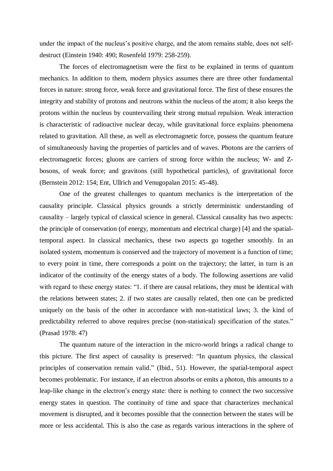under the impact of the nucleus's positive charge, and the atom remains stable, does not selfdestruct (Einstein 1940: 490; Rosenfeld 1979: 258-259).

The forces of electromagnetism were the first to be explained in terms of quantum mechanics. In addition to them, modern physics assumes there are three other fundamental forces in nature: strong force, weak force and gravitational force. The first of these ensures the integrity and stability of protons and neutrons within the nucleus of the atom; it also keeps the protons within the nucleus by countervailing their strong mutual repulsion. Weak interaction is characteristic of radioactive nuclear decay, while gravitational force explains phenomena related to gravitation. All these, as well as electromagnetic force, possess the quantum feature of simultaneously having the properties of particles and of waves. Photons are the carriers of electromagnetic forces; gluons are carriers of strong force within the nucleus; W- and Zbosons, of weak force; and gravitons (still hypothetical particles), of gravitational force (Bernstein 2012: 154; Ent, Ullrich and Venugopalan 2015: 45-48).

One of the greatest challenges to quantum mechanics is the interpretation of the causality principle. Classical physics grounds a strictly deterministic understanding of causality – largely typical of classical science in general. Classical causality has two aspects: the principle of conservation (of energy, momentum and electrical charge) [4] and the spatialtemporal aspect. In classical mechanics, these two aspects go together smoothly. In an isolated system, momentum is conserved and the trajectory of movement is a function of time; to every point in time, there corresponds a point on the trajectory; the latter, in turn is an indicator of the continuity of the energy states of a body. The following assertions are valid with regard to these energy states: "1. if there are causal relations, they must be identical with the relations between states; 2. if two states are causally related, then one can be predicted uniquely on the basis of the other in accordance with non-statistical laws; 3. the kind of predictability referred to above requires precise (non-statistical) specification of the states." (Prasad 1978: 47)

The quantum nature of the interaction in the micro-world brings a radical change to this picture. The first aspect of causality is preserved: "In quantum physics, the classical principles of conservation remain valid." (Ibid., 51). However, the spatial-temporal aspect becomes problematic. For instance, if an electron absorbs or emits a photon, this amounts to a leap-like change in the electron's energy state: there is nothing to connect the two successive energy states in question. The continuity of time and space that characterizes mechanical movement is disrupted, and it becomes possible that the connection between the states will be more or less accidental. This is also the case as regards various interactions in the sphere of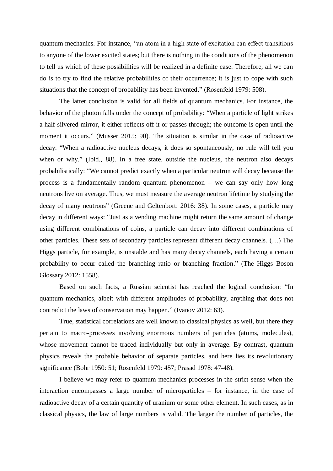quantum mechanics. For instance, "an atom in a high state of excitation can effect transitions to anyone of the lower excited states; but there is nothing in the conditions of the phenomenon to tell us which of these possibilities will be realized in a definite case. Therefore, all we can do is to try to find the relative probabilities of their occurrence; it is just to cope with such situations that the concept of probability has been invented." (Rosenfeld 1979: 508).

The latter conclusion is valid for all fields of quantum mechanics. For instance, the behavior of the photon falls under the concept of probability: "When a particle of light strikes a half-silvered mirror, it either reflects off it or passes through; the outcome is open until the moment it occurs." (Musser 2015: 90). The situation is similar in the case of radioactive decay: "When a radioactive nucleus decays, it does so spontaneously; no rule will tell you when or why." (Ibid., 88). In a free state, outside the nucleus, the neutron also decays probabilistically: "We cannot predict exactly when a particular neutron will decay because the process is a fundamentally random quantum phenomenon – we can say only how long neutrons live on average. Thus, we must measure the average neutron lifetime by studying the decay of many neutrons" (Greene and Geltenbort: 2016: 38). In some cases, a particle may decay in different ways: "Just as a vending machine might return the same amount of change using different combinations of coins, a particle can decay into different combinations of other particles. These sets of secondary particles represent different decay channels. (…) The Higgs particle, for example, is unstable and has many decay channels, each having a certain probability to occur called the branching ratio or branching fraction." (The Higgs Boson Glossary 2012: 1558).

Based on such facts, a Russian scientist has reached the logical conclusion: "In quantum mechanics, albeit with different amplitudes of probability, anything that does not contradict the laws of conservation may happen." (Ivanov 2012: 63).

True, statistical correlations are well known to classical physics as well, but there they pertain to macro-processes involving enormous numbers of particles (atoms, molecules), whose movement cannot be traced individually but only in average. By contrast, quantum physics reveals the probable behavior of separate particles, and here lies its revolutionary significance (Bohr 1950: 51; Rosenfeld 1979: 457; Prasad 1978: 47-48).

I believe we may refer to quantum mechanics processes in the strict sense when the interaction encompasses a large number of microparticles – for instance, in the case of radioactive decay of a certain quantity of uranium or some other element. In such cases, as in classical physics, the law of large numbers is valid. The larger the number of particles, the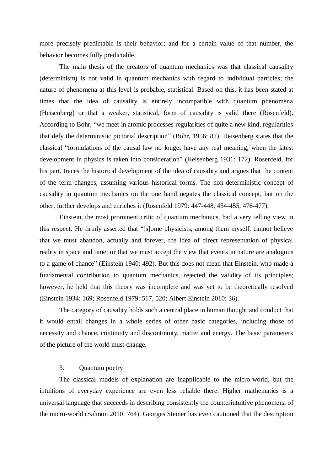more precisely predictable is their behavior; and for a certain value of that number, the behavior becomes fully predictable.

The main thesis of the creators of quantum mechanics was that classical causality (determinism) is not valid in quantum mechanics with regard to individual particles; the nature of phenomena at this level is probable, statistical. Based on this, it has been stated at times that the idea of causality is entirely incompatible with quantum phenomena (Heisenberg) or that a weaker, statistical, form of causality is valid there (Rosenfeld). According to Bohr, "we meet in atomic processes regularities of quite a new kind, regularities that defy the deterministic pictorial description" (Bohr, 1956: 87). Heisenberg states that the classical "formulations of the causal law no longer have any real meaning, when the latest development in physics is taken into consideration" (Heisenberg 1931: 172). Rosenfeld, for his part, traces the historical development of the idea of causality and argues that the content of the term changes, assuming various historical forms. The non-deterministic concept of causality in quantum mechanics on the one hand negates the classical concept, but on the other, further develops and enriches it (Rosenfeld 1979: 447-448, 454-455, 476-477).

Einstein, the most prominent critic of quantum mechanics, had a very telling view in this respect. He firmly asserted that "[s]ome physicists, among them myself, cannot believe that we must abandon, actually and forever, the idea of direct representation of physical reality in space and time; or that we must accept the view that events in nature are analogous to a game of chance" (Einstein 1940: 492). But this does not mean that Einstein, who made a fundamental contribution to quantum mechanics, rejected the validity of its principles; however, he held that this theory was incomplete and was yet to be theoretically resolved (Einstein 1934: 169; Rosenfeld 1979: 517, 520; Albert Einstein 2010: 36).

The category of causality holds such a central place in human thought and conduct that it would entail changes in a whole series of other basic categories, including those of necessity and chance, continuity and discontinuity, matter and energy. The basic parameters of the picture of the world must change.

#### 3. Quantum poetry

The classical models of explanation are inapplicable to the micro-world, but the intuitions of everyday experience are even less reliable there. Higher mathematics is a universal language that succeeds in describing consistently the counterintuitive phenomena of the micro-world (Salmon 2010: 764). Georges Steiner has even cautioned that the description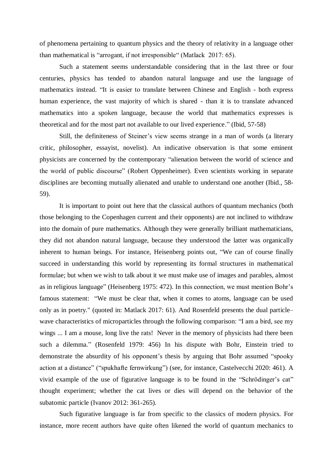of phenomena pertaining to quantum physics and the theory of relativity in a language other than mathematical is "arrogant, if not irresponsible" (Matlack 2017: 65).

Such a statement seems understandable considering that in the last three or four centuries, physics has tended to abandon natural language and use the language of mathematics instead. "It is easier to translate between Chinese and English - both express human experience, the vast majority of which is shared - than it is to translate advanced mathematics into a spoken language, because the world that mathematics expresses is theoretical and for the most part not available to our lived experience." (Ibid, 57-58)

Still, the definiteness of Steiner's view seems strange in a man of words (a literary critic, philosopher, essayist, novelist). An indicative observation is that some eminent physicists are concerned by the contemporary "alienation between the world of science and the world of public discourse" (Robert Oppenheimer). Even scientists working in separate disciplines are becoming mutually alienated and unable to understand one another (Ibid., 58- 59).

It is important to point out here that the classical authors of quantum mechanics (both those belonging to the Copenhagen current and their opponents) are not inclined to withdraw into the domain of pure mathematics. Although they were generally brilliant mathematicians, they did not abandon natural language, because they understood the latter was organically inherent to human beings. For instance, Heisenberg points out, "We can of course finally succeed in understanding this world by representing its formal structures in mathematical formulae; but when we wish to talk about it we must make use of images and parables, almost as in religious language" (Heisenberg 1975: 472). In this connection, we must mention Bohr's famous statement: "We must be clear that, when it comes to atoms, language can be used only as in poetry." (quoted in: Matlack 2017: 61). And Rosenfeld presents the dual particle– wave characteristics of microparticles through the following comparison: "I am a bird, see my wings ... I am a mouse, long live the rats! Never in the memory of physicists had there been such a dilemma." (Rosenfeld 1979: 456) In his dispute with Bohr, Einstein tried to demonstrate the absurdity of his opponent's thesis by arguing that Bohr assumed "spooky action at a distance" ("spukhafte fernwirkung") (see, for instance, Castelvecchi 2020: 461). A vivid example of the use of figurative language is to be found in the "Schrödinger's cat" thought experiment; whether the cat lives or dies will depend on the behavior of the subatomic particle (Ivanov 2012: 361-265).

Such figurative language is far from specific to the classics of modern physics. For instance, more recent authors have quite often likened the world of quantum mechanics to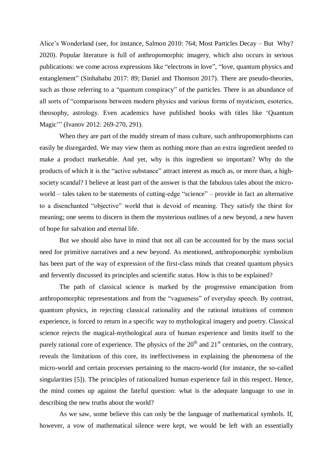Alice's Wonderland (see, for instance, Salmon 2010: 764; Most Particles Decay – But Why? 2020). Popular literature is full of anthropomorphic imagery, which also occurs in serious publications: we come across expressions like "electrons in love", "love, quantum physics and entanglement" (Sinhababu 2017: 89; Daniel and Thomson 2017). There are pseudo-theories, such as those referring to a "quantum conspiracy" of the particles. There is an abundance of all sorts of "comparisons between modern physics and various forms of mysticism, esoterics, theosophy, astrology. Even academics have published books with titles like 'Quantum Magic'" (Ivanov 2012: 269-270, 291).

When they are part of the muddy stream of mass culture, such anthropomorphisms can easily be disregarded. We may view them as nothing more than an extra ingredient needed to make a product marketable. And yet, why is this ingredient so important? Why do the products of which it is the "active substance" attract interest as much as, or more than, a highsociety scandal? I believe at least part of the answer is that the fabulous tales about the microworld – tales taken to be statements of cutting-edge "science" – provide in fact an alternative to a disenchanted "objective" world that is devoid of meaning. They satisfy the thirst for meaning; one seems to discern in them the mysterious outlines of a new beyond, a new haven of hope for salvation and eternal life.

But we should also have in mind that not all can be accounted for by the mass social need for primitive narratives and a new beyond. As mentioned, anthropomorphic symbolism has been part of the way of expression of the first-class minds that created quantum physics and fervently discussed its principles and scientific status. How is this to be explained?

The path of classical science is marked by the progressive emancipation from anthropomorphic representations and from the "vagueness" of everyday speech. By contrast, quantum physics, in rejecting classical rationality and the rational intuitions of common experience, is forced to return in a specific way to mythological imagery and poetry. Classical science rejects the magical-mythological aura of human experience and limits itself to the purely rational core of experience. The physics of the  $20<sup>th</sup>$  and  $21<sup>st</sup>$  centuries, on the contrary, reveals the limitations of this core, its ineffectiveness in explaining the phenomena of the micro-world and certain processes pertaining to the macro-world (for instance, the so-called singularities [5]). The principles of rationalized human experience fail in this respect. Hence, the mind comes up against the fateful question: what is the adequate language to use in describing the new truths about the world?

As we saw, some believe this can only be the language of mathematical symbols. If, however, a vow of mathematical silence were kept, we would be left with an essentially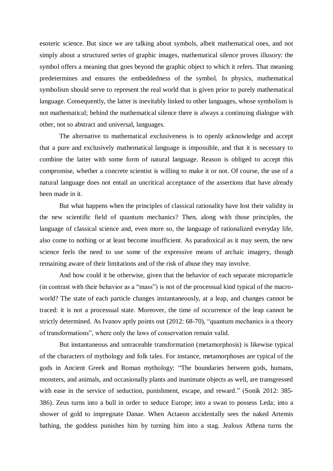esoteric science. But since we are talking about symbols, albeit mathematical ones, and not simply about a structured series of graphic images, mathematical silence proves illusory: the symbol offers a meaning that goes beyond the graphic object to which it refers. That meaning predetermines and ensures the embeddedness of the symbol. In physics, mathematical symbolism should serve to represent the real world that is given prior to purely mathematical language. Consequently, the latter is inevitably linked to other languages, whose symbolism is not mathematical; behind the mathematical silence there is always a continuing dialogue with other, not so abstract and universal, languages.

The alternative to mathematical exclusiveness is to openly acknowledge and accept that a pure and exclusively mathematical language is impossible, and that it is necessary to combine the latter with some form of natural language. Reason is obliged to accept this compromise, whether a concrete scientist is willing to make it or not. Of course, the use of a natural language does not entail an uncritical acceptance of the assertions that have already been made in it.

But what happens when the principles of classical rationality have lost their validity in the new scientific field of quantum mechanics? Then, along with those principles, the language of classical science and, even more so, the language of rationalized everyday life, also come to nothing or at least become insufficient. As paradoxical as it may seem, the new science feels the need to use some of the expressive means of archaic imagery, though remaining aware of their limitations and of the risk of abuse they may involve.

And how could it be otherwise, given that the behavior of each separate microparticle (in contrast with their behavior as a "mass") is not of the processual kind typical of the macroworld? The state of each particle changes instantaneously, at a leap, and changes cannot be traced: it is not a processual state. Moreover, the time of occurrence of the leap cannot be strictly determined. As Ivanov aptly points out (2012: 68-70), "quantum mechanics is a theory of transformations", where only the laws of conservation remain valid.

But instantaneous and untraceable transformation (metamorphosis) is likewise typical of the characters of mythology and folk tales. For instance, metamorphoses are typical of the gods in Ancient Greek and Roman mythology: "The boundaries between gods, humans, monsters, and animals, and occasionally plants and inanimate objects as well, are transgressed with ease in the service of seduction, punishment, escape, and reward." (Sonik 2012: 385- 386). Zeus turns into a bull in order to seduce Europe; into a swan to possess Leda; into a shower of gold to impregnate Danae. When Actaeon accidentally sees the naked Artemis bathing, the goddess punishes him by turning him into a stag. Jealous Athena turns the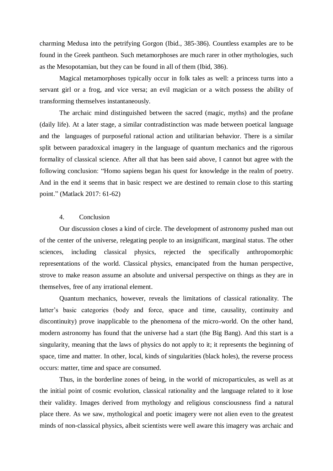charming Medusa into the petrifying Gorgon (Ibid., 385-386). Countless examples are to be found in the Greek pantheon. Such metamorphoses are much rarer in other mythologies, such as the Mesopotamian, but they can be found in all of them (Ibid, 386).

Magical metamorphoses typically occur in folk tales as well: a princess turns into a servant girl or a frog, and vice versa; an evil magician or a witch possess the ability of transforming themselves instantaneously.

The archaic mind distinguished between the sacred (magic, myths) and the profane (daily life). At a later stage, a similar contradistinction was made between poetical language and the languages of purposeful rational action and utilitarian behavior. There is a similar split between paradoxical imagery in the language of quantum mechanics and the rigorous formality of classical science. After all that has been said above, I cannot but agree with the following conclusion: "Homo sapiens began his quest for knowledge in the realm of poetry. And in the end it seems that in basic respect we are destined to remain close to this starting point." (Matlack 2017: 61-62)

### 4. Conclusion

Our discussion closes a kind of circle. The development of astronomy pushed man out of the center of the universe, relegating people to an insignificant, marginal status. The other sciences, including classical physics, rejected the specifically anthropomorphic representations of the world. Classical physics, emancipated from the human perspective, strove to make reason assume an absolute and universal perspective on things as they are in themselves, free of any irrational element.

Quantum mechanics, however, reveals the limitations of classical rationality. The latter's basic categories (body and force, space and time, causality, continuity and discontinuity) prove inapplicable to the phenomena of the micro-world. On the other hand, modern astronomy has found that the universe had a start (the Big Bang). And this start is a singularity, meaning that the laws of physics do not apply to it; it represents the beginning of space, time and matter. In other, local, kinds of singularities (black holes), the reverse process occurs: matter, time and space are consumed.

Thus, in the borderline zones of being, in the world of microparticules, as well as at the initial point of cosmic evolution, classical rationality and the language related to it lose their validity. Images derived from mythology and religious consciousness find a natural place there. As we saw, mythological and poetic imagery were not alien even to the greatest minds of non-classical physics, albeit scientists were well aware this imagery was archaic and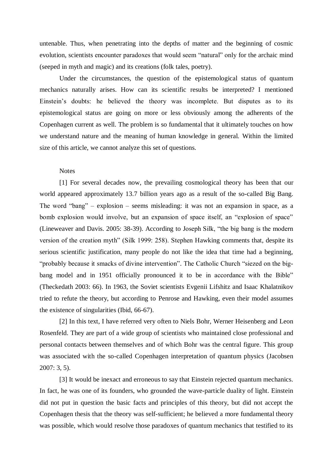untenable. Thus, when penetrating into the depths of matter and the beginning of cosmic evolution, scientists encounter paradoxes that would seem "natural" only for the archaic mind (seeped in myth and magic) and its creations (folk tales, poetry).

Under the circumstances, the question of the epistemological status of quantum mechanics naturally arises. How can its scientific results be interpreted? I mentioned Einstein's doubts: he believed the theory was incomplete. But disputes as to its epistemological status are going on more or less obviously among the adherents of the Copenhagen current as well. The problem is so fundamental that it ultimately touches on how we understand nature and the meaning of human knowledge in general. Within the limited size of this article, we cannot analyze this set of questions.

## Notes

[1] For several decades now, the prevailing cosmological theory has been that our world appeared approximately 13.7 billion years ago as a result of the so-called Big Bang. The word "bang" – explosion – seems misleading: it was not an expansion in space, as a bomb explosion would involve, but an expansion of space itself, an "explosion of space" (Lineweaver and Davis. 2005: 38-39). According to Joseph Silk, "the big bang is the modern version of the creation myth" (Silk 1999: 258). Stephen Hawking comments that, despite its serious scientific justification, many people do not like the idea that time had a beginning, "probably because it smacks of divine intervention". Тhe Catholic Church "siezed on the bigbang model and in 1951 officially pronounced it to be in accordance with the Bible" (Theckedath 2003: 66). In 1963, the Soviet scientists Evgenii Lifshitz and Isaac Khalatnikov tried to refute the theory, but according to Penrose and Hawking, even their model assumes the existence of singularities (Ibid, 66-67).

[2] In this text, I have referred very often to Niels Bohr, Werner Heisenberg and Leon Rosenfeld. They are part of a wide group of scientists who maintained close professional and personal contacts between themselves and of which Bohr was the central figure. This group was associated with the so-called Copenhagen interpretation of quantum physics (Jacobsen 2007: 3, 5).

[3] It would be inexact and erroneous to say that Einstein rejected quantum mechanics. In fact, he was one of its founders, who grounded the wave-particle duality of light. Einstein did not put in question the basic facts and principles of this theory, but did not accept the Copenhagen thesis that the theory was self-sufficient; he believed a more fundamental theory was possible, which would resolve those paradoxes of quantum mechanics that testified to its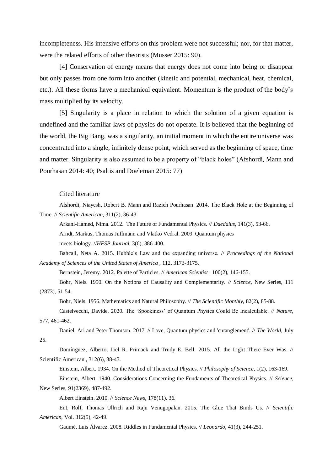incompleteness. His intensive efforts on this problem were not successful; nor, for that matter, were the related efforts of other theorists (Musser 2015: 90).

[4] Conservation of energy means that energy does not come into being or disappear but only passes from one form into another (kinetic and potential, mechanical, heat, chemical, etc.). All these forms have a mechanical equivalent. Momentum is the product of the body's mass multiplied by its velocity.

[5] Singularity is a place in relation to which the solution of a given equation is undefined and the familiar laws of physics do not operate. It is believed that the beginning of the world, the Big Bang, was a singularity, an initial moment in which the entire universe was concentrated into a single, infinitely dense point, which served as the beginning of space, time and matter. Singularity is also assumed to be a property of "black holes" (Afshordi, Mann and Pourhasan 2014: 40; Psaltis and Doeleman 2015: 77)

#### Cited literature

Afshordi, Niayesh, Robert B. Mann and Razieh Pourhasan. 2014. The Black Hole at the Beginning of Time. // *Scientific American*, 311(2), 36-43.

Arkani-Hamed, Nima. 2012. The Future of Fundamental Physics. // *Daedalus*, 141(3), 53-66.

Arndt, Markus, Thomas Juffmann and Vlatko Vedral. 2009. Quantum physics

meets biology. //*HFSP Journal,* 3(6), 386-400.

Bahcall, Neta A. 2015. Hubble's Law and the expanding universe. // *Proceedings of the National Academy of Sciences of the United States of America* , 112, 3173-3175.

Bernstein, Jeremy. 2012. Palette of Particles. // *American Scientist* , 100(2), 146-155.

Bohr, Niels. 1950. On the Notions of Causality and Complementarity. // *Science,* New Series, 111 (2873), 51-54.

Bohr, Niels. 1956. Mathematics and Natural Philosophy. // *The Scientific Monthly*, 82(2), 85-88.

Castelvecchi, Davide. 2020. The 'Spookiness' of Quantum Physics Could Be Incalculable. // *Nature,* 577, 461-462.

Daniel, Ari and Peter Thomson. 2017. // Love, Quantum physics and 'entanglement'. // *The World,* July 25.

Domínguez, Alberto, Joel R. Primack and Trudy E. Bell. 2015. All the Light There Ever Was. // Scientific American , 312(6), 38-43.

Einstein, Albert. 1934. On the Method of Theoretical Physics. // *Philosophy of Science*, 1(2), 163-169.

Einstein, Albert. 1940. Considerations Concerning the Fundaments of Theoretical Physics. // *Science*, New Series, 91(2369), 487-492.

Albert Einstein. 2010. // *Science News*, 178(11), 36.

Ent, Rolf, Thomas Ullrich and Raju Venugopalan. 2015. The Glue That Binds Us. // *Scientific American*, Vol. 312(5), 42-49.

Gaumé, Luis Álvarez. 2008. Riddles in Fundamental Physics. // *Leonardo*, 41(3), 244-251.